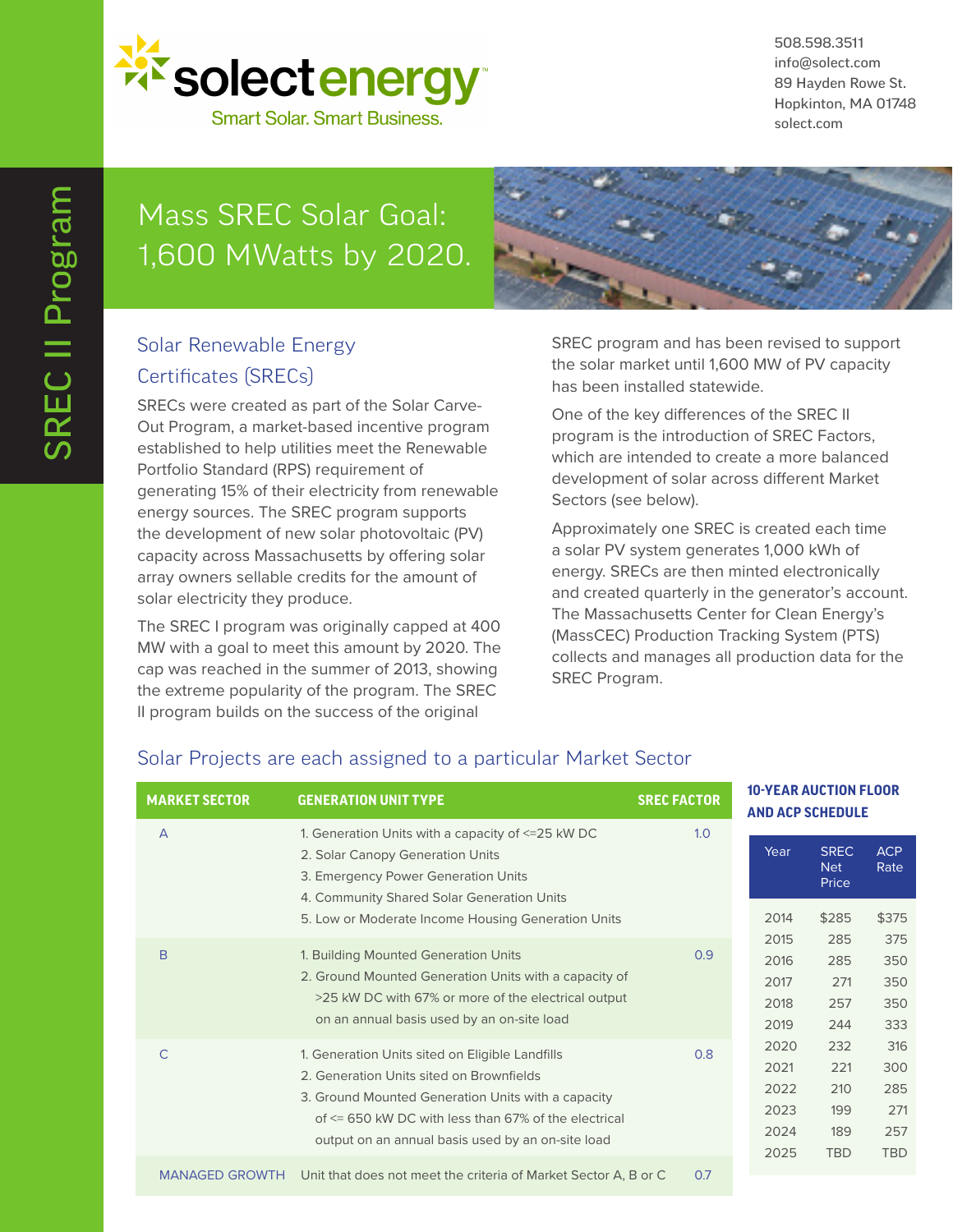

508.598.3511 info@solect.com 89 Hayden Rowe St. Hopkinton, MA 01748 solect.com

# Mass SREC Solar Goal: 1,600 MWatts by 2020.



## Solar Renewable Energy Certificates (SRECs)

SRECs were created as part of the Solar Carve-Out Program, a market-based incentive program established to help utilities meet the Renewable Portfolio Standard (RPS) requirement of generating 15% of their electricity from renewable energy sources. The SREC program supports the development of new solar photovoltaic (PV) capacity across Massachusetts by offering solar array owners sellable credits for the amount of solar electricity they produce.

The SREC I program was originally capped at 400 MW with a goal to meet this amount by 2020. The cap was reached in the summer of 2013, showing the extreme popularity of the program. The SREC II program builds on the success of the original

SREC program and has been revised to support the solar market until 1,600 MW of PV capacity has been installed statewide.

One of the key differences of the SREC II program is the introduction of SREC Factors, which are intended to create a more balanced development of solar across different Market Sectors (see below).

Approximately one SREC is created each time a solar PV system generates 1,000 kWh of energy. SRECs are then minted electronically and created quarterly in the generator's account. The Massachusetts Center for Clean Energy's (MassCEC) Production Tracking System (PTS) collects and manages all production data for the SREC Program.

### A 1. Generation Units with a capacity of <=25 kW DC 1.0 2. Solar Canopy Generation Units 3. Emergency Power Generation Units 4. Community Shared Solar Generation Units 5. Low or Moderate Income Housing Generation Units B 1. Building Mounted Generation Units 0.9 2. Ground Mounted Generation Units with a capacity of >25 kW DC with 67% or more of the electrical output on an annual basis used by an on-site load C 1. Generation Units sited on Eligible Landfills 0.8 2. Generation Units sited on Brownfields 3. Ground Mounted Generation Units with a capacity of <= 650 kW DC with less than 67% of the electrical output on an annual basis used by an on-site load MANAGED GROWTH Unit that does not meet the criteria of Market Sector A, B or C 0.7 **MARKET SECTOR GENERATION UNIT TYPE SREC FACTOR** Year SREC ACP Net Rate Price 2014 \$285 \$375 2015 285 375 2016 285 350 2017 271 350 2018 257 350 2019 244 333 2020 232 316 2021 221 300 2022 210 285 2023 199 271 2024 189 257 2025 TBD TBD **10-YEAR AUCTION FLOOR AND ACP SCHEDULE**

## Solar Projects are each assigned to a particular Market Sector